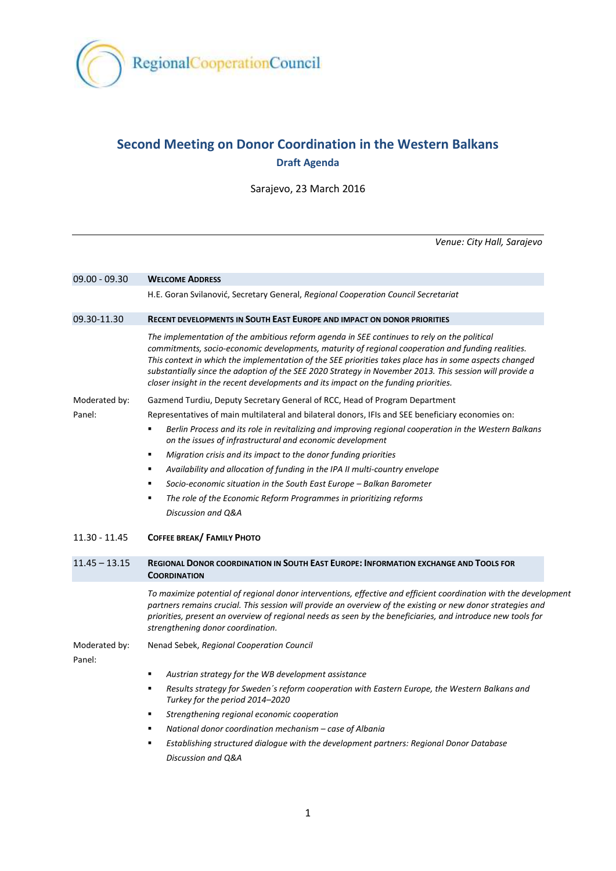

# **Second Meeting on Donor Coordination in the Western Balkans Draft Agenda**

Sarajevo, 23 March 2016

*Venue: City Hall, Sarajevo*

| 09.00 - 09.30           | <b>WELCOME ADDRESS</b>                                                                                                                                                                                                                                                                                                                                                                                                                                                                                       |
|-------------------------|--------------------------------------------------------------------------------------------------------------------------------------------------------------------------------------------------------------------------------------------------------------------------------------------------------------------------------------------------------------------------------------------------------------------------------------------------------------------------------------------------------------|
|                         | H.E. Goran Svilanović, Secretary General, Regional Cooperation Council Secretariat                                                                                                                                                                                                                                                                                                                                                                                                                           |
| 09.30-11.30             | <b>RECENT DEVELOPMENTS IN SOUTH EAST EUROPE AND IMPACT ON DONOR PRIORITIES</b>                                                                                                                                                                                                                                                                                                                                                                                                                               |
|                         | The implementation of the ambitious reform agenda in SEE continues to rely on the political<br>commitments, socio-economic developments, maturity of regional cooperation and funding realities.<br>This context in which the implementation of the SEE priorities takes place has in some aspects changed<br>substantially since the adoption of the SEE 2020 Strategy in November 2013. This session will provide a<br>closer insight in the recent developments and its impact on the funding priorities. |
| Moderated by:           | Gazmend Turdiu, Deputy Secretary General of RCC, Head of Program Department                                                                                                                                                                                                                                                                                                                                                                                                                                  |
| Panel:                  | Representatives of main multilateral and bilateral donors, IFIs and SEE beneficiary economies on:                                                                                                                                                                                                                                                                                                                                                                                                            |
|                         | Berlin Process and its role in revitalizing and improving regional cooperation in the Western Balkans<br>٠<br>on the issues of infrastructural and economic development                                                                                                                                                                                                                                                                                                                                      |
|                         | Migration crisis and its impact to the donor funding priorities<br>٠                                                                                                                                                                                                                                                                                                                                                                                                                                         |
|                         | Availability and allocation of funding in the IPA II multi-country envelope<br>٠                                                                                                                                                                                                                                                                                                                                                                                                                             |
|                         | Socio-economic situation in the South East Europe - Balkan Barometer<br>$\blacksquare$                                                                                                                                                                                                                                                                                                                                                                                                                       |
|                         | The role of the Economic Reform Programmes in prioritizing reforms<br>٠                                                                                                                                                                                                                                                                                                                                                                                                                                      |
|                         | Discussion and Q&A                                                                                                                                                                                                                                                                                                                                                                                                                                                                                           |
| $11.30 - 11.45$         | COFFEE BREAK/ FAMILY PHOTO                                                                                                                                                                                                                                                                                                                                                                                                                                                                                   |
| $11.45 - 13.15$         | <b>REGIONAL DONOR COORDINATION IN SOUTH EAST EUROPE: INFORMATION EXCHANGE AND TOOLS FOR</b><br><b>COORDINATION</b>                                                                                                                                                                                                                                                                                                                                                                                           |
|                         | To maximize potential of regional donor interventions, effective and efficient coordination with the development<br>partners remains crucial. This session will provide an overview of the existing or new donor strategies and<br>priorities, present an overview of regional needs as seen by the beneficiaries, and introduce new tools for<br>strengthening donor coordination.                                                                                                                          |
| Moderated by:<br>Panel: | Nenad Sebek, Regional Cooperation Council                                                                                                                                                                                                                                                                                                                                                                                                                                                                    |
|                         | Austrian strategy for the WB development assistance<br>٠                                                                                                                                                                                                                                                                                                                                                                                                                                                     |
|                         | Results strategy for Sweden's reform cooperation with Eastern Europe, the Western Balkans and<br>٠<br>Turkey for the period 2014-2020                                                                                                                                                                                                                                                                                                                                                                        |
|                         | Strengthening regional economic cooperation<br>٠                                                                                                                                                                                                                                                                                                                                                                                                                                                             |
|                         | National donor coordination mechanism - case of Albania<br>٠                                                                                                                                                                                                                                                                                                                                                                                                                                                 |
|                         | Establishing structured dialogue with the development partners: Regional Donor Database<br>$\blacksquare$                                                                                                                                                                                                                                                                                                                                                                                                    |
|                         | Discussion and O&A                                                                                                                                                                                                                                                                                                                                                                                                                                                                                           |